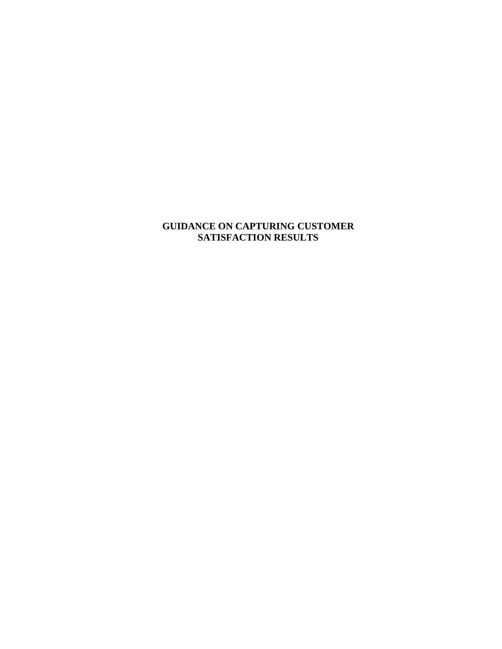# **GUIDANCE ON CAPTURING CUSTOMER SATISFACTION RESULTS**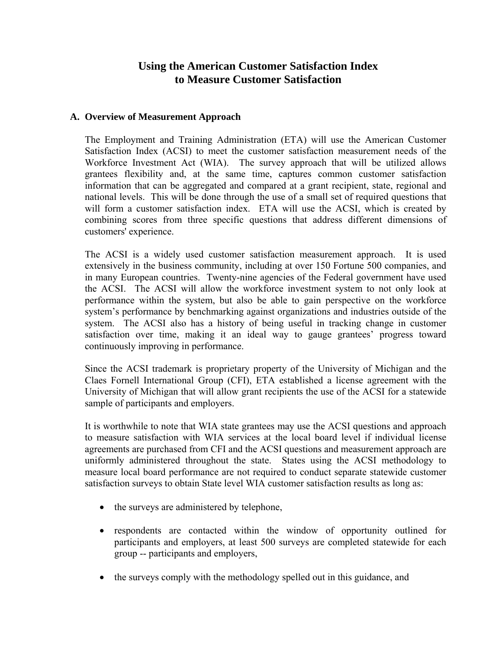# **Using the American Customer Satisfaction Index to Measure Customer Satisfaction**

#### **A. Overview of Measurement Approach**

The Employment and Training Administration (ETA) will use the American Customer Satisfaction Index (ACSI) to meet the customer satisfaction measurement needs of the Workforce Investment Act (WIA). The survey approach that will be utilized allows grantees flexibility and, at the same time, captures common customer satisfaction information that can be aggregated and compared at a grant recipient, state, regional and national levels. This will be done through the use of a small set of required questions that will form a customer satisfaction index. ETA will use the ACSI, which is created by combining scores from three specific questions that address different dimensions of customers' experience.

The ACSI is a widely used customer satisfaction measurement approach. It is used extensively in the business community, including at over 150 Fortune 500 companies, and in many European countries. Twenty-nine agencies of the Federal government have used the ACSI. The ACSI will allow the workforce investment system to not only look at performance within the system, but also be able to gain perspective on the workforce system's performance by benchmarking against organizations and industries outside of the system. The ACSI also has a history of being useful in tracking change in customer satisfaction over time, making it an ideal way to gauge grantees' progress toward continuously improving in performance.

Since the ACSI trademark is proprietary property of the University of Michigan and the Claes Fornell International Group (CFI), ETA established a license agreement with the University of Michigan that will allow grant recipients the use of the ACSI for a statewide sample of participants and employers.

It is worthwhile to note that WIA state grantees may use the ACSI questions and approach to measure satisfaction with WIA services at the local board level if individual license agreements are purchased from CFI and the ACSI questions and measurement approach are uniformly administered throughout the state. States using the ACSI methodology to measure local board performance are not required to conduct separate statewide customer satisfaction surveys to obtain State level WIA customer satisfaction results as long as:

- the surveys are administered by telephone,
- respondents are contacted within the window of opportunity outlined for participants and employers, at least 500 surveys are completed statewide for each group -- participants and employers,
- the surveys comply with the methodology spelled out in this guidance, and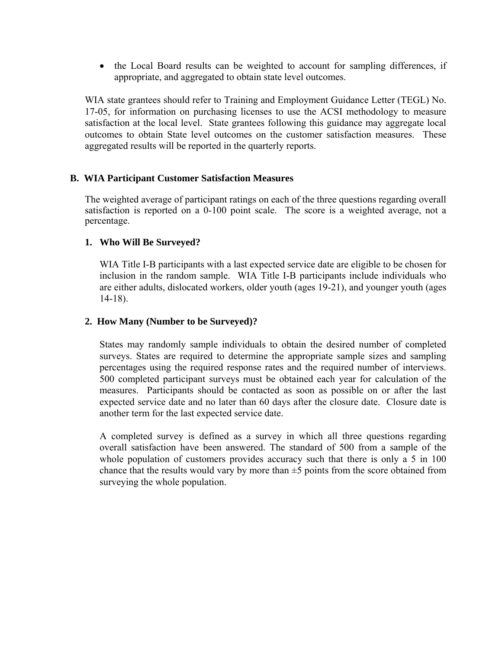• the Local Board results can be weighted to account for sampling differences, if appropriate, and aggregated to obtain state level outcomes.

WIA state grantees should refer to Training and Employment Guidance Letter (TEGL) No. 17-05, for information on purchasing licenses to use the ACSI methodology to measure satisfaction at the local level. State grantees following this guidance may aggregate local outcomes to obtain State level outcomes on the customer satisfaction measures. These aggregated results will be reported in the quarterly reports.

# **B. WIA Participant Customer Satisfaction Measures**

The weighted average of participant ratings on each of the three questions regarding overall satisfaction is reported on a 0-100 point scale. The score is a weighted average, not a percentage.

# **1. Who Will Be Surveyed?**

WIA Title I-B participants with a last expected service date are eligible to be chosen for inclusion in the random sample. WIA Title I-B participants include individuals who are either adults, dislocated workers, older youth (ages 19-21), and younger youth (ages 14-18).

# **2. How Many (Number to be Surveyed)?**

States may randomly sample individuals to obtain the desired number of completed surveys. States are required to determine the appropriate sample sizes and sampling percentages using the required response rates and the required number of interviews. 500 completed participant surveys must be obtained each year for calculation of the measures. Participants should be contacted as soon as possible on or after the last expected service date and no later than 60 days after the closure date. Closure date is another term for the last expected service date.

A completed survey is defined as a survey in which all three questions regarding overall satisfaction have been answered. The standard of 500 from a sample of the whole population of customers provides accuracy such that there is only a 5 in 100 chance that the results would vary by more than  $\pm 5$  points from the score obtained from surveying the whole population.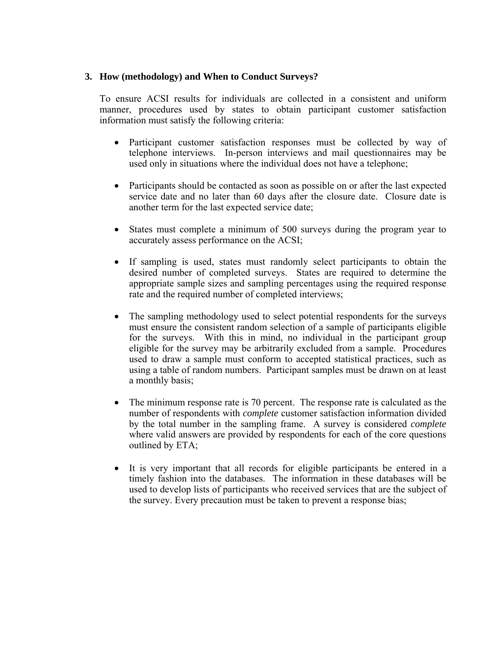### **3. How (methodology) and When to Conduct Surveys?**

To ensure ACSI results for individuals are collected in a consistent and uniform manner, procedures used by states to obtain participant customer satisfaction information must satisfy the following criteria:

- Participant customer satisfaction responses must be collected by way of telephone interviews. In-person interviews and mail questionnaires may be used only in situations where the individual does not have a telephone;
- Participants should be contacted as soon as possible on or after the last expected service date and no later than 60 days after the closure date. Closure date is another term for the last expected service date;
- States must complete a minimum of 500 surveys during the program year to accurately assess performance on the ACSI;
- If sampling is used, states must randomly select participants to obtain the desired number of completed surveys. States are required to determine the appropriate sample sizes and sampling percentages using the required response rate and the required number of completed interviews;
- The sampling methodology used to select potential respondents for the surveys must ensure the consistent random selection of a sample of participants eligible for the surveys. With this in mind, no individual in the participant group eligible for the survey may be arbitrarily excluded from a sample. Procedures used to draw a sample must conform to accepted statistical practices, such as using a table of random numbers. Participant samples must be drawn on at least a monthly basis;
- The minimum response rate is 70 percent. The response rate is calculated as the number of respondents with *complete* customer satisfaction information divided by the total number in the sampling frame. A survey is considered *complete* where valid answers are provided by respondents for each of the core questions outlined by ETA;
- It is very important that all records for eligible participants be entered in a timely fashion into the databases. The information in these databases will be used to develop lists of participants who received services that are the subject of the survey. Every precaution must be taken to prevent a response bias;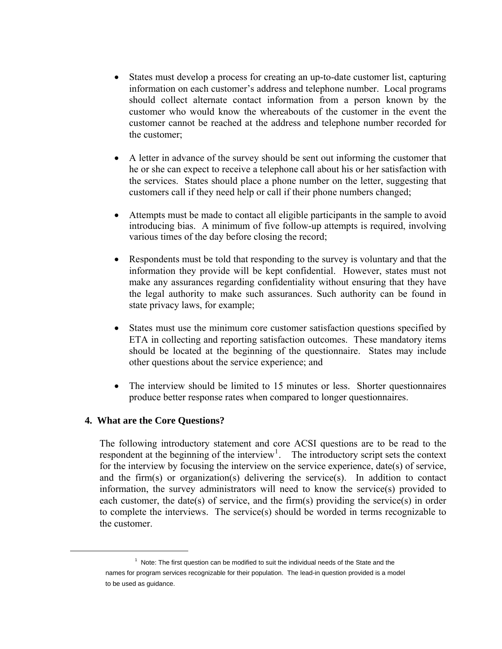- States must develop a process for creating an up-to-date customer list, capturing information on each customer's address and telephone number. Local programs should collect alternate contact information from a person known by the customer who would know the whereabouts of the customer in the event the customer cannot be reached at the address and telephone number recorded for the customer;
- A letter in advance of the survey should be sent out informing the customer that he or she can expect to receive a telephone call about his or her satisfaction with the services. States should place a phone number on the letter, suggesting that customers call if they need help or call if their phone numbers changed;
- Attempts must be made to contact all eligible participants in the sample to avoid introducing bias. A minimum of five follow-up attempts is required, involving various times of the day before closing the record;
- Respondents must be told that responding to the survey is voluntary and that the information they provide will be kept confidential. However, states must not make any assurances regarding confidentiality without ensuring that they have the legal authority to make such assurances. Such authority can be found in state privacy laws, for example;
- States must use the minimum core customer satisfaction questions specified by ETA in collecting and reporting satisfaction outcomes. These mandatory items should be located at the beginning of the questionnaire. States may include other questions about the service experience; and
- The interview should be limited to 15 minutes or less. Shorter questionnaires produce better response rates when compared to longer questionnaires.

#### **4. What are the Core Questions?**

<span id="page-4-0"></span> $\overline{a}$ 

The following introductory statement and core ACSI questions are to be read to the respondent at the beginning of the interview<sup>[1](#page-4-0)</sup>. The introductory script sets the context for the interview by focusing the interview on the service experience, date(s) of service, and the firm(s) or organization(s) delivering the service(s). In addition to contact information, the survey administrators will need to know the service(s) provided to each customer, the date(s) of service, and the firm(s) providing the service(s) in order to complete the interviews. The service(s) should be worded in terms recognizable to the customer.

 $1$  Note: The first question can be modified to suit the individual needs of the State and the names for program services recognizable for their population. The lead-in question provided is a model to be used as guidance.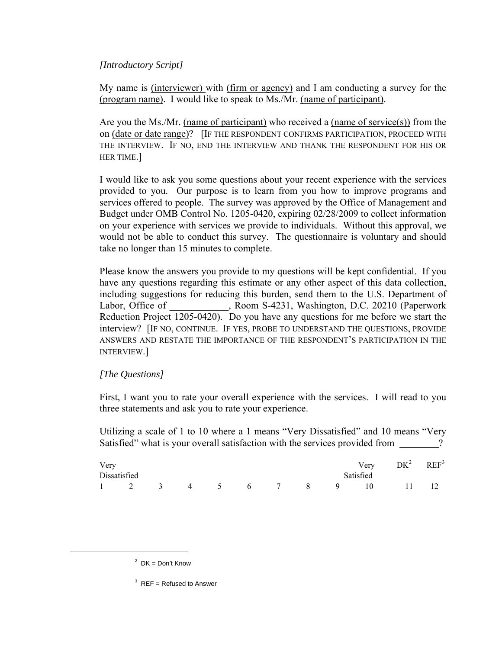# *[Introductory Script]*

My name is (interviewer) with (firm or agency) and I am conducting a survey for the (program name). I would like to speak to Ms./Mr. (name of participant).

Are you the Ms./Mr. (name of participant) who received a (name of service(s)) from the on (date or date range)? [IF THE RESPONDENT CONFIRMS PARTICIPATION, PROCEED WITH THE INTERVIEW. IF NO, END THE INTERVIEW AND THANK THE RESPONDENT FOR HIS OR HER TIME.]

I would like to ask you some questions about your recent experience with the services provided to you. Our purpose is to learn from you how to improve programs and services offered to people. The survey was approved by the Office of Management and Budget under OMB Control No. 1205-0420, expiring 02/28/2009 to collect information on your experience with services we provide to individuals. Without this approval, we would not be able to conduct this survey. The questionnaire is voluntary and should take no longer than 15 minutes to complete.

Please know the answers you provide to my questions will be kept confidential. If you have any questions regarding this estimate or any other aspect of this data collection, including suggestions for reducing this burden, send them to the U.S. Department of Labor, Office of Fig. 20210 (Paperwork commonly be provided), Room S-4231, Washington, D.C. 20210 (Paperwork Reduction Project 1205-0420). Do you have any questions for me before we start the interview? [IF NO, CONTINUE. IF YES, PROBE TO UNDERSTAND THE QUESTIONS, PROVIDE ANSWERS AND RESTATE THE IMPORTANCE OF THE RESPONDENT'S PARTICIPATION IN THE INTERVIEW.]

#### *[The Questions]*

First, I want you to rate your overall experience with the services. I will read to you three statements and ask you to rate your experience.

Utilizing a scale of 1 to 10 where a 1 means "Very Dissatisfied" and 10 means "Very Satisfied" what is your overall satisfaction with the services provided from  $\gamma$ ?

| Very |                                 |  |  |  |                |           | Very $DK^2$ REF <sup>3</sup> |  |
|------|---------------------------------|--|--|--|----------------|-----------|------------------------------|--|
|      | Dissatisfied                    |  |  |  |                | Satisfied |                              |  |
|      | $1 \t2 \t3 \t4 \t5 \t6 \t7 \t8$ |  |  |  | $\overline{9}$ | $\sim$ 10 |                              |  |

<span id="page-5-1"></span><span id="page-5-0"></span> $\overline{a}$ 

 $2$  DK = Don't Know

 $3$  REF = Refused to Answer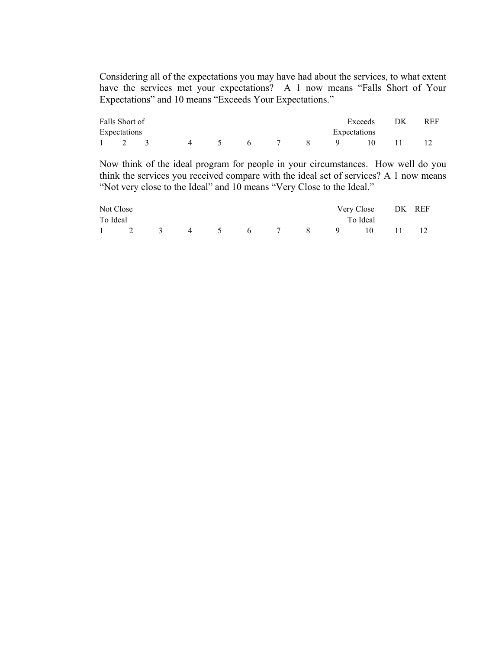Considering all of the expectations you may have had about the services, to what extent have the services met your expectations? A 1 now means "Falls Short of Your Expectations" and 10 means "Exceeds Your Expectations."

| Falls Short of |             |        |    |  |          | Exceeds      | DK | REF. |
|----------------|-------------|--------|----|--|----------|--------------|----|------|
| Expectations   |             |        |    |  |          | Expectations |    |      |
|                | $\mathbf 4$ | $\sim$ | -6 |  | <u>g</u> |              |    |      |

Now think of the ideal program for people in your circumstances. How well do you think the services you received compare with the ideal set of services? A 1 now means "Not very close to the Ideal" and 10 means "Very Close to the Ideal."

|          | Not Close |  |  |  | Very Close DK REF       |  |
|----------|-----------|--|--|--|-------------------------|--|
| To Ideal |           |  |  |  | To Ideal                |  |
|          |           |  |  |  | 1 2 3 4 5 6 7 8 9 10 11 |  |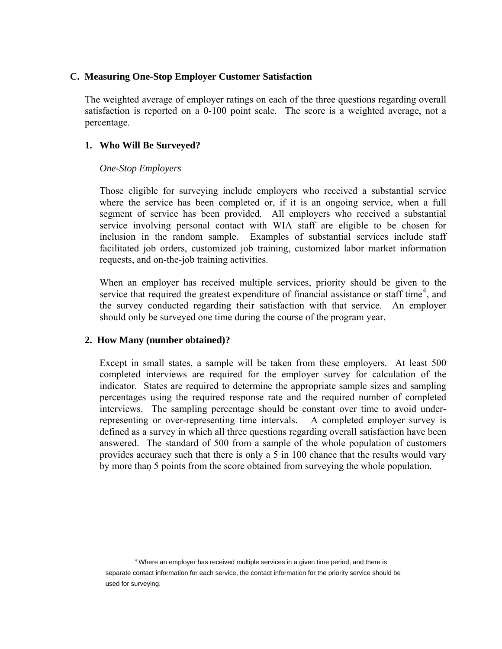### **C. Measuring One-Stop Employer Customer Satisfaction**

The weighted average of employer ratings on each of the three questions regarding overall satisfaction is reported on a 0-100 point scale. The score is a weighted average, not a percentage.

# **1. Who Will Be Surveyed?**

# *One-Stop Employers*

Those eligible for surveying include employers who received a substantial service where the service has been completed or, if it is an ongoing service, when a full segment of service has been provided. All employers who received a substantial service involving personal contact with WIA staff are eligible to be chosen for inclusion in the random sample. Examples of substantial services include staff facilitated job orders, customized job training, customized labor market information requests, and on-the-job training activities.

When an employer has received multiple services, priority should be given to the service that required the greatest expenditure of financial assistance or staff time<sup>[4](#page-7-0)</sup>, and the survey conducted regarding their satisfaction with that service. An employer should only be surveyed one time during the course of the program year.

# **2. How Many (number obtained)?**

Except in small states, a sample will be taken from these employers. At least 500 completed interviews are required for the employer survey for calculation of the indicator. States are required to determine the appropriate sample sizes and sampling percentages using the required response rate and the required number of completed interviews. The sampling percentage should be constant over time to avoid underrepresenting or over-representing time intervals. A completed employer survey is defined as a survey in which all three questions regarding overall satisfaction have been answered. The standard of 500 from a sample of the whole population of customers provides accuracy such that there is only a 5 in 100 chance that the results would vary by more than 5 points from the score obtained from surveying the whole population.

<span id="page-7-0"></span><sup>&</sup>lt;sup>4</sup> Where an employer has received multiple services in a given time period, and there is separate contact information for each service, the contact information for the priority service should be used for surveying.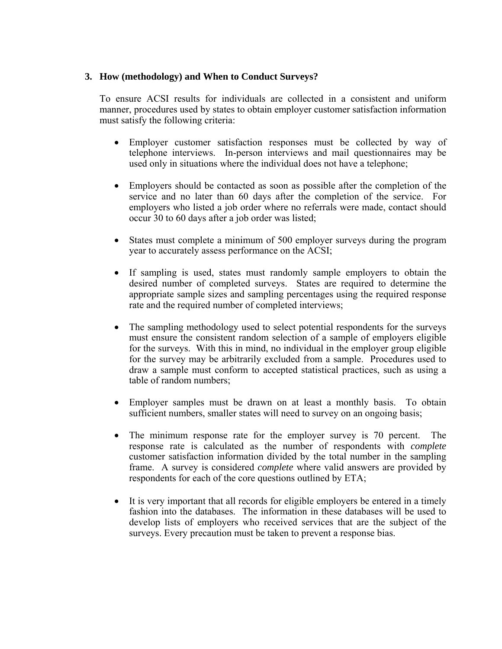### **3. How (methodology) and When to Conduct Surveys?**

To ensure ACSI results for individuals are collected in a consistent and uniform manner, procedures used by states to obtain employer customer satisfaction information must satisfy the following criteria:

- Employer customer satisfaction responses must be collected by way of telephone interviews. In-person interviews and mail questionnaires may be used only in situations where the individual does not have a telephone;
- Employers should be contacted as soon as possible after the completion of the service and no later than 60 days after the completion of the service. For employers who listed a job order where no referrals were made, contact should occur 30 to 60 days after a job order was listed;
- States must complete a minimum of 500 employer surveys during the program year to accurately assess performance on the ACSI;
- If sampling is used, states must randomly sample employers to obtain the desired number of completed surveys. States are required to determine the appropriate sample sizes and sampling percentages using the required response rate and the required number of completed interviews;
- The sampling methodology used to select potential respondents for the surveys must ensure the consistent random selection of a sample of employers eligible for the surveys. With this in mind, no individual in the employer group eligible for the survey may be arbitrarily excluded from a sample. Procedures used to draw a sample must conform to accepted statistical practices, such as using a table of random numbers;
- Employer samples must be drawn on at least a monthly basis. To obtain sufficient numbers, smaller states will need to survey on an ongoing basis;
- The minimum response rate for the employer survey is 70 percent. The response rate is calculated as the number of respondents with *complete* customer satisfaction information divided by the total number in the sampling frame. A survey is considered *complete* where valid answers are provided by respondents for each of the core questions outlined by ETA;
- It is very important that all records for eligible employers be entered in a timely fashion into the databases. The information in these databases will be used to develop lists of employers who received services that are the subject of the surveys. Every precaution must be taken to prevent a response bias.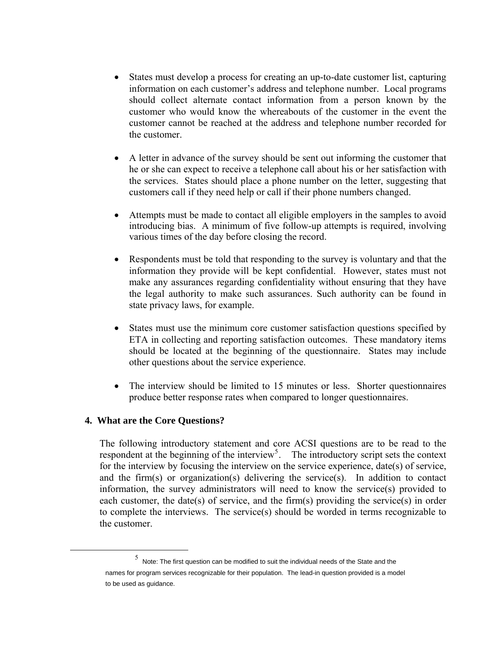- States must develop a process for creating an up-to-date customer list, capturing information on each customer's address and telephone number. Local programs should collect alternate contact information from a person known by the customer who would know the whereabouts of the customer in the event the customer cannot be reached at the address and telephone number recorded for the customer.
- A letter in advance of the survey should be sent out informing the customer that he or she can expect to receive a telephone call about his or her satisfaction with the services. States should place a phone number on the letter, suggesting that customers call if they need help or call if their phone numbers changed.
- Attempts must be made to contact all eligible employers in the samples to avoid introducing bias. A minimum of five follow-up attempts is required, involving various times of the day before closing the record.
- Respondents must be told that responding to the survey is voluntary and that the information they provide will be kept confidential. However, states must not make any assurances regarding confidentiality without ensuring that they have the legal authority to make such assurances. Such authority can be found in state privacy laws, for example.
- States must use the minimum core customer satisfaction questions specified by ETA in collecting and reporting satisfaction outcomes. These mandatory items should be located at the beginning of the questionnaire. States may include other questions about the service experience.
- The interview should be limited to 15 minutes or less. Shorter questionnaires produce better response rates when compared to longer questionnaires.

#### **4. What are the Core Questions?**

The following introductory statement and core ACSI questions are to be read to the respondent at the beginning of the interview<sup>[5](#page-9-0)</sup>. The introductory script sets the context for the interview by focusing the interview on the service experience, date(s) of service, and the firm(s) or organization(s) delivering the service(s). In addition to contact information, the survey administrators will need to know the service(s) provided to each customer, the date(s) of service, and the firm(s) providing the service(s) in order to complete the interviews. The service(s) should be worded in terms recognizable to the customer.

<span id="page-9-0"></span> $\frac{1}{5}$  $5$  Note: The first question can be modified to suit the individual needs of the State and the names for program services recognizable for their population. The lead-in question provided is a model to be used as guidance.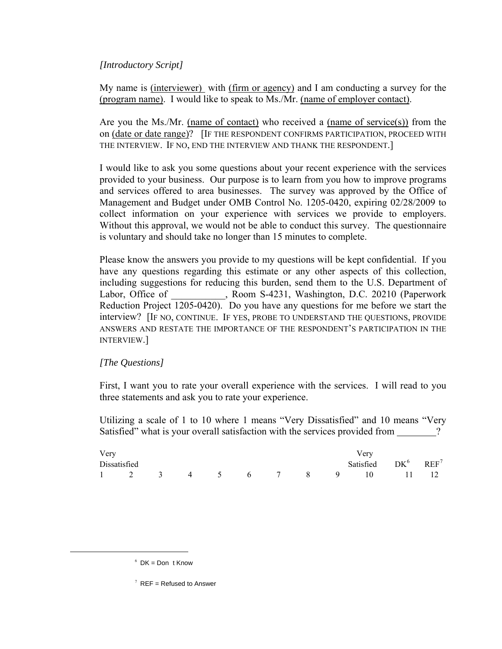# *[Introductory Script]*

My name is (interviewer) with (firm or agency) and I am conducting a survey for the (program name). I would like to speak to Ms./Mr. (name of employer contact).

Are you the Ms./Mr. (name of contact) who received a (name of service(s)) from the on (date or date range)? [IF THE RESPONDENT CONFIRMS PARTICIPATION, PROCEED WITH THE INTERVIEW. IF NO, END THE INTERVIEW AND THANK THE RESPONDENT.]

I would like to ask you some questions about your recent experience with the services provided to your business. Our purpose is to learn from you how to improve programs and services offered to area businesses. The survey was approved by the Office of Management and Budget under OMB Control No. 1205-0420, expiring 02/28/2009 to collect information on your experience with services we provide to employers. Without this approval, we would not be able to conduct this survey. The questionnaire is voluntary and should take no longer than 15 minutes to complete.

Please know the answers you provide to my questions will be kept confidential. If you have any questions regarding this estimate or any other aspects of this collection, including suggestions for reducing this burden, send them to the U.S. Department of Labor, Office of Franch Room S-4231, Washington, D.C. 20210 (Paperwork Reduction Project 1205-0420). Do you have any questions for me before we start the interview? [IF NO, CONTINUE. IF YES, PROBE TO UNDERSTAND THE QUESTIONS, PROVIDE ANSWERS AND RESTATE THE IMPORTANCE OF THE RESPONDENT'S PARTICIPATION IN THE INTERVIEW.]

#### *[The Questions]*

First, I want you to rate your overall experience with the services. I will read to you three statements and ask you to rate your experience.

Utilizing a scale of 1 to 10 where 1 means "Very Dissatisfied" and 10 means "Very Satisfied" what is your overall satisfaction with the services provided from  $\gamma$ 

| Very |              |  |  |  | Verv                              |  |
|------|--------------|--|--|--|-----------------------------------|--|
|      | Dissatisfied |  |  |  | Satisfied $DK^6$ REF <sup>7</sup> |  |
|      |              |  |  |  | 1 2 3 4 5 6 7 8 9 10 11 12        |  |

<span id="page-10-1"></span><span id="page-10-0"></span> $\frac{6}{5}$  $6$  DK = Dont Know

 $7$  REF = Refused to Answer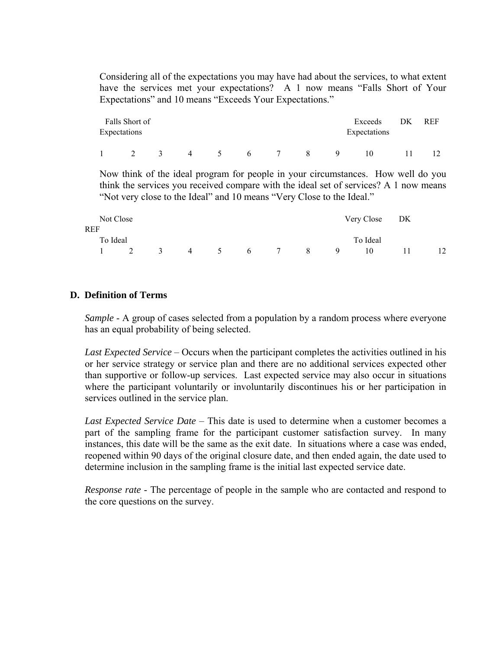Considering all of the expectations you may have had about the services, to what extent have the services met your expectations? A 1 now means "Falls Short of Your Expectations" and 10 means "Exceeds Your Expectations."

| Expectations | Falls Short of |   |                |              |   | Exceeds<br>Expectations | DK | <b>REF</b> |
|--------------|----------------|---|----------------|--------------|---|-------------------------|----|------------|
|              |                | 4 | 6 <sup>1</sup> | $\mathbf{R}$ | Q | 10                      |    |            |

Now think of the ideal program for people in your circumstances. How well do you think the services you received compare with the ideal set of services? A 1 now means "Not very close to the Ideal" and 10 means "Very Close to the Ideal."

| Not Close |                |  |  |               |  | Very Close DK |  |
|-----------|----------------|--|--|---------------|--|---------------|--|
| REF       |                |  |  |               |  |               |  |
| To Ideal  |                |  |  |               |  | To Ideal      |  |
|           | $\overline{2}$ |  |  | 3 4 5 6 7 8 9 |  | 10            |  |

# **D. Definition of Terms**

*Sample* - A group of cases selected from a population by a random process where everyone has an equal probability of being selected.

*Last Expected Service* – Occurs when the participant completes the activities outlined in his or her service strategy or service plan and there are no additional services expected other than supportive or follow-up services. Last expected service may also occur in situations where the participant voluntarily or involuntarily discontinues his or her participation in services outlined in the service plan.

*Last Expected Service Date* – This date is used to determine when a customer becomes a part of the sampling frame for the participant customer satisfaction survey. In many instances, this date will be the same as the exit date. In situations where a case was ended, reopened within 90 days of the original closure date, and then ended again, the date used to determine inclusion in the sampling frame is the initial last expected service date.

*Response rate* - The percentage of people in the sample who are contacted and respond to the core questions on the survey.